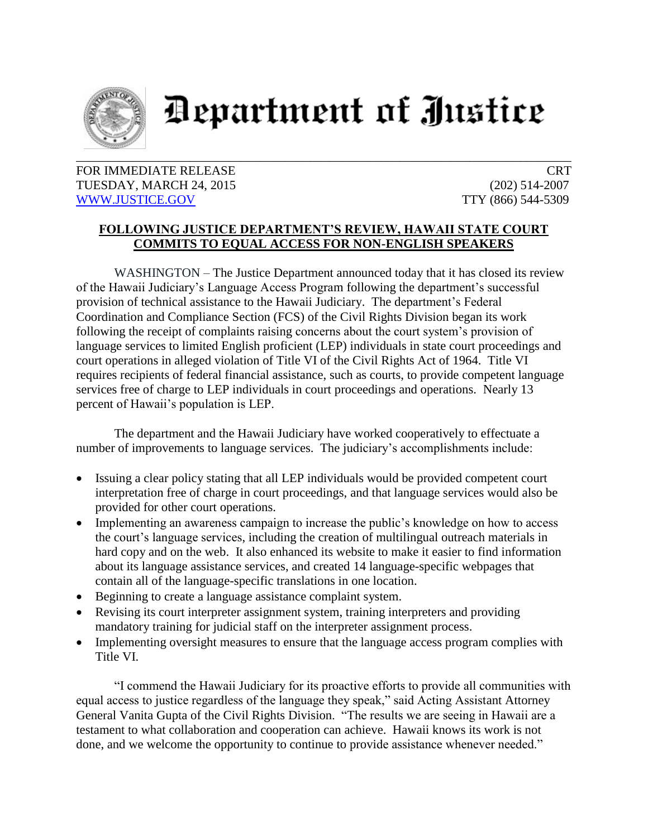

## Department of Justice

## FOR IMMEDIATE RELEASE CRT TUESDAY, MARCH 24, 2015 (202) 514-2007 [WWW.JUSTICE.GOV](http://www.justice.gov/) TTY (866) 544-5309

## **FOLLOWING JUSTICE DEPARTMENT'S REVIEW, HAWAII STATE COURT COMMITS TO EQUAL ACCESS FOR NON-ENGLISH SPEAKERS**

WASHINGTON – The Justice Department announced today that it has closed its review of the Hawaii Judiciary's Language Access Program following the department's successful provision of technical assistance to the Hawaii Judiciary. The department's Federal Coordination and Compliance Section (FCS) of the Civil Rights Division began its work following the receipt of complaints raising concerns about the court system's provision of language services to limited English proficient (LEP) individuals in state court proceedings and court operations in alleged violation of Title VI of the Civil Rights Act of 1964. Title VI requires recipients of federal financial assistance, such as courts, to provide competent language services free of charge to LEP individuals in court proceedings and operations. Nearly 13 percent of Hawaii's population is LEP.

The department and the Hawaii Judiciary have worked cooperatively to effectuate a number of improvements to language services. The judiciary's accomplishments include:

- Issuing a clear policy stating that all LEP individuals would be provided competent court interpretation free of charge in court proceedings, and that language services would also be provided for other court operations.
- Implementing an awareness campaign to increase the public's knowledge on how to access the court's language services, including the creation of multilingual outreach materials in hard copy and on the web. It also enhanced its website to make it easier to find information about its language assistance services, and created 14 language-specific webpages that contain all of the language-specific translations in one location.
- Beginning to create a language assistance complaint system.
- Revising its court interpreter assignment system, training interpreters and providing mandatory training for judicial staff on the interpreter assignment process.
- Implementing oversight measures to ensure that the language access program complies with Title VI.

"I commend the Hawaii Judiciary for its proactive efforts to provide all communities with equal access to justice regardless of the language they speak," said Acting Assistant Attorney General Vanita Gupta of the Civil Rights Division. "The results we are seeing in Hawaii are a testament to what collaboration and cooperation can achieve. Hawaii knows its work is not done, and we welcome the opportunity to continue to provide assistance whenever needed."